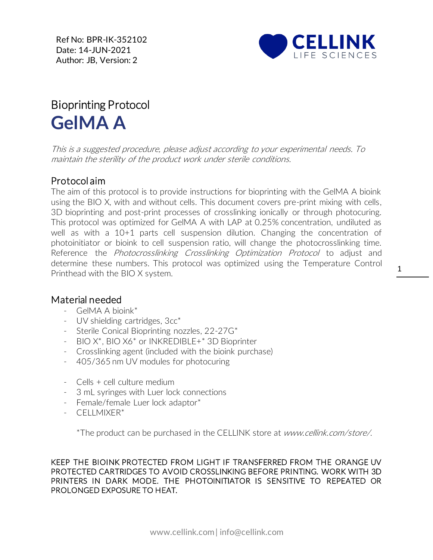Ref No: BPR-IK-352102 Date: 14-JUN-2021 Author: JB, Version: 2



## Bioprinting Protocol **GelMA A**

This is a suggested procedure, please adjust according to your experimental needs. To maintain the sterility of the product work under sterile conditions.

## Protocol aim

The aim of this protocol is to provide instructions for bioprinting with the GelMA A bioink using the BIO X, with and without cells. This document covers pre-print mixing with cells, 3D bioprinting and post-print processes of crosslinking ionically or through photocuring. This protocol was optimized for GelMA A with LAP at 0.25% concentration, undiluted as well as with a 10+1 parts cell suspension dilution. Changing the concentration of photoinitiator or bioink to cell suspension ratio, will change the photocrosslinking time. Reference the *Photocrosslinking Crosslinking Optimization Protocol* to adjust and determine these numbers. This protocol was optimized using the Temperature Control Printhead with the BIO X system.

## Material needed

- GelMA A bioink\*
- [UV](https://cellink.com/product/uv-shielding-cartridges-3cc/) shielding cartridges, 3cc\*
- Sterile Conical Bioprinting nozzles, 22-27G\*
- BIO X\*, BIO X6\* or INKREDIBLE+\* 3D Bioprinter
- Crosslinking agent (included with the bioink purchase)
- 405/365 nm UV modules for photocuring
- Cells + cell culture medium
- 3 mL syringes with Luer lock connections
- Female/female Luer lock adaptor\*
- CELLMIXER\*

\*The product can be purchased in the CELLINK store at www.cellink.com/store/.

KEEP THE BIOINK PROTECTED FROM LIGHT IF TRANSFERRED FROM THE ORANGE UV PROTECTED CARTRIDGES TO AVOID CROSSLINKING BEFORE PRINTING. WORK WITH 3D PRINTERS IN DARK MODE. THE PHOTOINITIATOR IS SENSITIVE TO REPEATED OR PROLONGED EXPOSURE TO HEAT.

1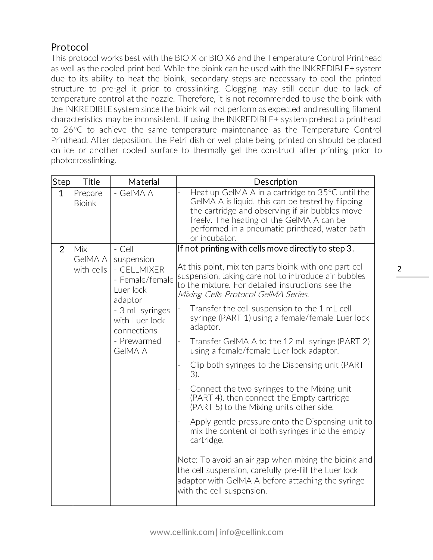## Protocol

This protocol works best with the BIO X or BIO X6 and the Temperature Control Printhead as well as the cooled print bed. While the bioink can be used with the INKREDIBLE+ system due to its ability to heat the bioink, secondary steps are necessary to cool the printed structure to pre-gel it prior to crosslinking. Clogging may still occur due to lack of temperature control at the nozzle. Therefore, it is not recommended to use the bioink with the INKREDIBLE system since the bioink will not perform as expected and resulting filament characteristics may be inconsistent. If using the INKREDIBLE+ system preheat a printhead to 26C to achieve the same temperature maintenance as the Temperature Control Printhead. After deposition, the Petri dish or well plate being printed on should be placed on ice or another cooled surface to thermally gel the construct after printing prior to photocrosslinking.

| Step           | <b>Title</b>                        | Material                                                                                                                                                     | Description                                                                                                                                                                                                                                                                                                                                                                                                                                                                                                                                                                                                                                                                                                                                                                                                                                                                                                                                                                                                  |
|----------------|-------------------------------------|--------------------------------------------------------------------------------------------------------------------------------------------------------------|--------------------------------------------------------------------------------------------------------------------------------------------------------------------------------------------------------------------------------------------------------------------------------------------------------------------------------------------------------------------------------------------------------------------------------------------------------------------------------------------------------------------------------------------------------------------------------------------------------------------------------------------------------------------------------------------------------------------------------------------------------------------------------------------------------------------------------------------------------------------------------------------------------------------------------------------------------------------------------------------------------------|
| $\mathbf{1}$   | Prepare<br><b>Bioink</b>            | - GelMA A                                                                                                                                                    | Heat up GeIMA A in a cartridge to 35°C until the<br>GelMA A is liquid, this can be tested by flipping<br>the cartridge and observing if air bubbles move<br>freely. The heating of the GelMA A can be<br>performed in a pneumatic printhead, water bath<br>or incubator.                                                                                                                                                                                                                                                                                                                                                                                                                                                                                                                                                                                                                                                                                                                                     |
| $\overline{2}$ | Mix<br><b>GeIMA A</b><br>with cells | - Cell<br>suspension<br>- CELLMIXER<br>- Female/female<br>Luer lock<br>adaptor<br>- 3 mL syringes<br>with Luer lock<br>connections<br>- Prewarmed<br>GelMA A | If not printing with cells move directly to step 3.<br>At this point, mix ten parts bioink with one part cell<br>suspension, taking care not to introduce air bubbles<br>to the mixture. For detailed instructions see the<br>Mixing Cells Protocol GelMA Series.<br>Transfer the cell suspension to the 1 mL cell<br>syringe (PART 1) using a female/female Luer lock<br>adaptor.<br>Transfer GeIMA A to the 12 mL syringe (PART 2)<br>using a female/female Luer lock adaptor.<br>Clip both syringes to the Dispensing unit (PART<br>3).<br>Connect the two syringes to the Mixing unit<br>(PART 4), then connect the Empty cartridge<br>(PART 5) to the Mixing units other side.<br>Apply gentle pressure onto the Dispensing unit to<br>mix the content of both syringes into the empty<br>cartridge.<br>Note: To avoid an air gap when mixing the bioink and<br>the cell suspension, carefully pre-fill the Luer lock<br>adaptor with GeIMA A before attaching the syringe<br>with the cell suspension. |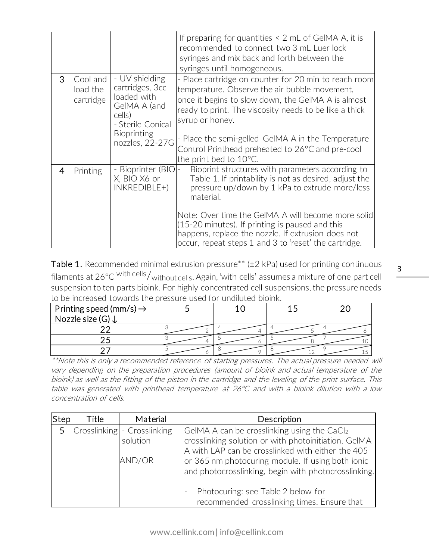|                |                                   |                                                                                                                                          | If preparing for quantities $\leq 2$ mL of GeIMA A, it is<br>recommended to connect two 3 mL Luer lock<br>syringes and mix back and forth between the<br>syringes until homogeneous.                                                                                                                                                                                                              |
|----------------|-----------------------------------|------------------------------------------------------------------------------------------------------------------------------------------|---------------------------------------------------------------------------------------------------------------------------------------------------------------------------------------------------------------------------------------------------------------------------------------------------------------------------------------------------------------------------------------------------|
| 3              | Cool and<br>load the<br>cartridge | - UV shielding<br>cartridges, 3cc<br>loaded with<br>GelMA A (and<br>cells)<br>- Sterile Conical<br><b>Bioprinting</b><br>nozzles, 22-27G | - Place cartridge on counter for 20 min to reach room<br>temperature. Observe the air bubble movement,<br>once it begins to slow down, the GelMA A is almost<br>ready to print. The viscosity needs to be like a thick<br>syrup or honey.<br>- Place the semi-gelled GelMA A in the Temperature<br>Control Printhead preheated to 26°C and pre-cool<br>the print bed to 10°C.                     |
| $\overline{4}$ | Printing                          | - Bioprinter (BIO)-<br>X, BIO X6 or<br>$INKREDIBLE+)$                                                                                    | Bioprint structures with parameters according to<br>Table 1. If printability is not as desired, adjust the<br>pressure up/down by 1 kPa to extrude more/less<br>material.<br>Note: Over time the GeIMA A will become more solid<br>(15-20 minutes). If printing is paused and this<br>happens, replace the nozzle. If extrusion does not<br>occur, repeat steps 1 and 3 to 'reset' the cartridge. |

Table 1. Recommended minimal extrusion pressure\*\* ( $\pm$ 2 kPa) used for printing continuous filaments at 26°C with cells/without cells. Again, 'with cells' assumes a mixture of one part cell suspension to ten parts bioink. For highly concentrated cell suspensions, the pressure needs to be increased towards the pressure used for undiluted bioink.

| Printing speed (mm/s) $\rightarrow$ |  |  |
|-------------------------------------|--|--|
| Nozzle size (G) ↓                   |  |  |
|                                     |  |  |
|                                     |  |  |
|                                     |  |  |

\*\*Note this is only a recommended reference of starting pressures. The actual pressure needed will vary depending on the preparation procedures (amount of bioink and actual temperature of the bioink) as well as the fitting of the piston in the cartridge and the leveling of the print surface. This table was generated with printhead temperature at 26°C and with a bioink dilution with a low concentration of cells.

| Step | Title | Material                    | Description                                          |
|------|-------|-----------------------------|------------------------------------------------------|
| 5    |       | Crosslinking - Crosslinking | GeIMA A can be crosslinking using the CaCl2          |
|      |       | solution                    | crosslinking solution or with photoinitiation. GeIMA |
|      |       |                             | A with LAP can be crosslinked with either the 405    |
|      |       | AND/OR                      | or 365 nm photocuring module. If using both ionic    |
|      |       |                             | and photocrosslinking, begin with photocrosslinking. |
|      |       |                             |                                                      |
|      |       |                             | Photocuring: see Table 2 below for                   |
|      |       |                             | recommended crosslinking times. Ensure that          |